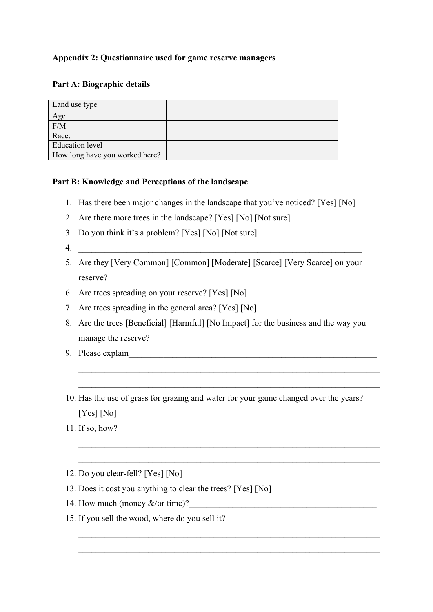## **Appendix 2: Questionnaire used for game reserve managers**

## **Part A: Biographic details**

| Land use type                  |  |
|--------------------------------|--|
| Age                            |  |
| F/M                            |  |
| Race:                          |  |
| <b>Education</b> level         |  |
| How long have you worked here? |  |

## **Part B: Knowledge and Perceptions of the landscape**

- 1. Has there been major changes in the landscape that you've noticed? [Yes] [No]
- 2. Are there more trees in the landscape? [Yes] [No] [Not sure]
- 3. Do you think it's a problem? [Yes] [No] [Not sure]
- 4.
- 5. Are they [Very Common] [Common] [Moderate] [Scarce] [Very Scarce] on your reserve?
- 6. Are trees spreading on your reserve? [Yes] [No]
- 7. Are trees spreading in the general area? [Yes] [No]
- 8. Are the trees [Beneficial] [Harmful] [No Impact] for the business and the way you manage the reserve?
- 9. Please explain
- 10. Has the use of grass for grazing and water for your game changed over the years? [Yes] [No]

 $\_$  , and the set of the set of the set of the set of the set of the set of the set of the set of the set of the set of the set of the set of the set of the set of the set of the set of the set of the set of the set of th

 $\_$  , and the set of the set of the set of the set of the set of the set of the set of the set of the set of the set of the set of the set of the set of the set of the set of the set of the set of the set of the set of th

 $\_$  , and the set of the set of the set of the set of the set of the set of the set of the set of the set of the set of the set of the set of the set of the set of the set of the set of the set of the set of the set of th

 $\_$  , and the set of the set of the set of the set of the set of the set of the set of the set of the set of the set of the set of the set of the set of the set of the set of the set of the set of the set of the set of th

- 11. If so, how?
- 12. Do you clear-fell? [Yes] [No]
- 13. Does it cost you anything to clear the trees? [Yes] [No]
- 14. How much (money  $&\&\text{/or time}$ )?
- 15. If you sell the wood, where do you sell it?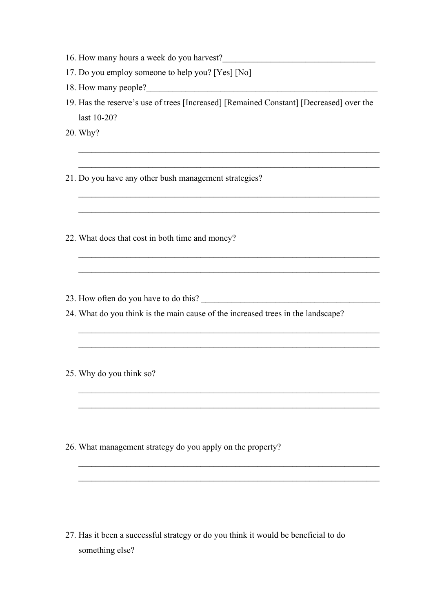- 16. How many hours a week do you harvest?
- 17. Do you employ someone to help you? [Yes] [No]
- 18. How many people?
- 19. Has the reserve's use of trees [Increased] [Remained Constant] [Decreased] over the last 10-20?

 $\_$  , and the set of the set of the set of the set of the set of the set of the set of the set of the set of the set of the set of the set of the set of the set of the set of the set of the set of the set of the set of th

 $\_$  , and the set of the set of the set of the set of the set of the set of the set of the set of the set of the set of the set of the set of the set of the set of the set of the set of the set of the set of the set of th

 $\_$  , and the set of the set of the set of the set of the set of the set of the set of the set of the set of the set of the set of the set of the set of the set of the set of the set of the set of the set of the set of th

 $\_$  , and the set of the set of the set of the set of the set of the set of the set of the set of the set of the set of the set of the set of the set of the set of the set of the set of the set of the set of the set of th

 $\_$  , and the set of the set of the set of the set of the set of the set of the set of the set of the set of the set of the set of the set of the set of the set of the set of the set of the set of the set of the set of th

 $\_$  , and the set of the set of the set of the set of the set of the set of the set of the set of the set of the set of the set of the set of the set of the set of the set of the set of the set of the set of the set of th

 $\_$  , and the set of the set of the set of the set of the set of the set of the set of the set of the set of the set of the set of the set of the set of the set of the set of the set of the set of the set of the set of th

 $\_$  , and the set of the set of the set of the set of the set of the set of the set of the set of the set of the set of the set of the set of the set of the set of the set of the set of the set of the set of the set of th

 $\_$  , and the set of the set of the set of the set of the set of the set of the set of the set of the set of the set of the set of the set of the set of the set of the set of the set of the set of the set of the set of th

- 20. Why?
- 21. Do you have any other bush management strategies?
- 22. What does that cost in both time and money?
- 23. How often do you have to do this? \_\_\_\_\_\_\_\_\_\_\_\_\_\_\_\_\_\_\_\_\_\_\_\_\_\_\_\_\_\_\_\_\_\_\_\_\_\_\_\_\_
- 24. What do you think is the main cause of the increased trees in the landscape?
- 25. Why do you think so?

26. What management strategy do you apply on the property?

27. Has it been a successful strategy or do you think it would be beneficial to do something else?